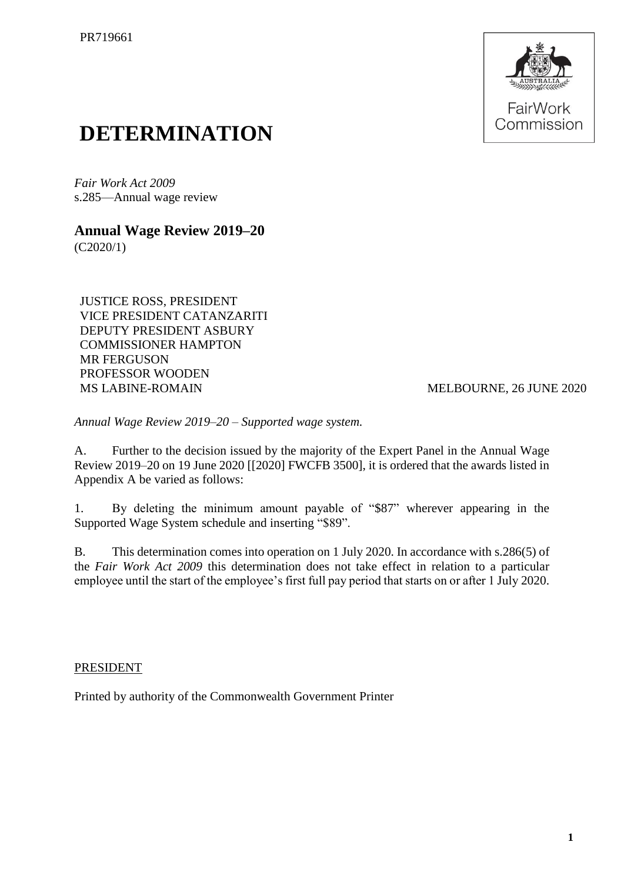

## **DETERMINATION**

*Fair Work Act 2009*  s.285—Annual wage review

## **Annual Wage Review 2019–20**

(C2020/1)

JUSTICE ROSS, PRESIDENT VICE PRESIDENT CATANZARITI DEPUTY PRESIDENT ASBURY COMMISSIONER HAMPTON MR FERGUSON PROFESSOR WOODEN MS LABINE-ROMAIN MELBOURNE, 26 JUNE 2020

*Annual Wage Review 2019–20 – Supported wage system.*

A. Further to the decision issued by the majority of the Expert Panel in the Annual Wage Review 2019–20 on 19 June 2020 [[2020] FWCFB 3500], it is ordered that the awards listed in Appendix A be varied as follows:

1. By deleting the minimum amount payable of "\$87" wherever appearing in the Supported Wage System schedule and inserting "\$89".

B. This determination comes into operation on 1 July 2020. In accordance with s.286(5) of the *Fair Work Act 2009* this determination does not take effect in relation to a particular employee until the start of the employee's first full pay period that starts on or after 1 July 2020.

## PRESIDENT

Printed by authority of the Commonwealth Government Printer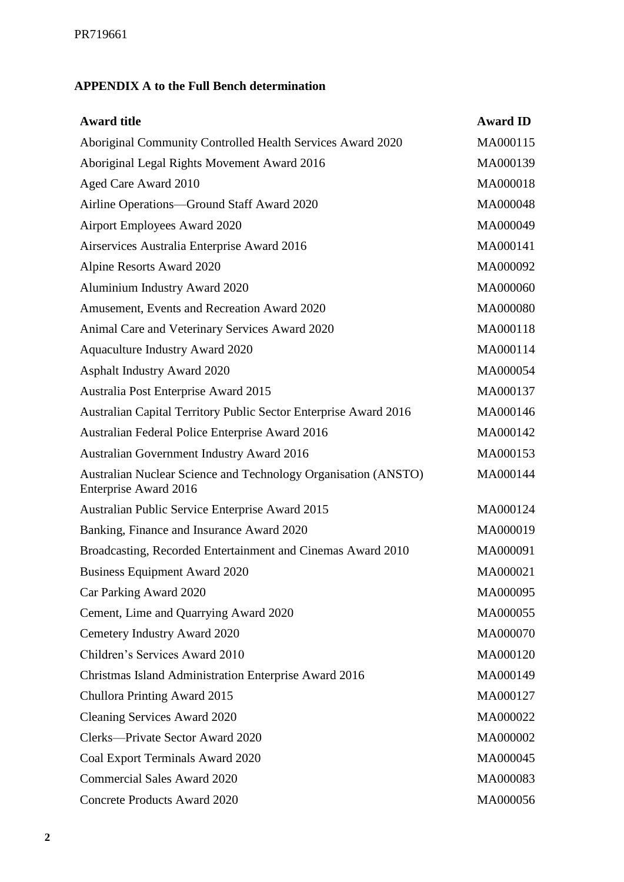## **APPENDIX A to the Full Bench determination**

| <b>Award title</b>                                                                      | <b>Award ID</b> |
|-----------------------------------------------------------------------------------------|-----------------|
| Aboriginal Community Controlled Health Services Award 2020                              | MA000115        |
| Aboriginal Legal Rights Movement Award 2016                                             | MA000139        |
| Aged Care Award 2010                                                                    | MA000018        |
| Airline Operations—Ground Staff Award 2020                                              | MA000048        |
| Airport Employees Award 2020                                                            | MA000049        |
| Airservices Australia Enterprise Award 2016                                             | MA000141        |
| Alpine Resorts Award 2020                                                               | MA000092        |
| Aluminium Industry Award 2020                                                           | MA000060        |
| Amusement, Events and Recreation Award 2020                                             | MA000080        |
| Animal Care and Veterinary Services Award 2020                                          | MA000118        |
| <b>Aquaculture Industry Award 2020</b>                                                  | MA000114        |
| <b>Asphalt Industry Award 2020</b>                                                      | MA000054        |
| Australia Post Enterprise Award 2015                                                    | MA000137        |
| Australian Capital Territory Public Sector Enterprise Award 2016                        | MA000146        |
| Australian Federal Police Enterprise Award 2016                                         | MA000142        |
| <b>Australian Government Industry Award 2016</b>                                        | MA000153        |
| Australian Nuclear Science and Technology Organisation (ANSTO)<br>Enterprise Award 2016 | MA000144        |
| Australian Public Service Enterprise Award 2015                                         | MA000124        |
| Banking, Finance and Insurance Award 2020                                               | MA000019        |
| Broadcasting, Recorded Entertainment and Cinemas Award 2010                             | MA000091        |
| <b>Business Equipment Award 2020</b>                                                    | MA000021        |
| Car Parking Award 2020                                                                  | MA000095        |
| Cement, Lime and Quarrying Award 2020                                                   | MA000055        |
| Cemetery Industry Award 2020                                                            | MA000070        |
| Children's Services Award 2010                                                          | MA000120        |
| Christmas Island Administration Enterprise Award 2016                                   | MA000149        |
| Chullora Printing Award 2015                                                            | MA000127        |
| <b>Cleaning Services Award 2020</b>                                                     | MA000022        |
| Clerks-Private Sector Award 2020                                                        | MA000002        |
| Coal Export Terminals Award 2020                                                        | MA000045        |
| <b>Commercial Sales Award 2020</b>                                                      | MA000083        |
| <b>Concrete Products Award 2020</b>                                                     | MA000056        |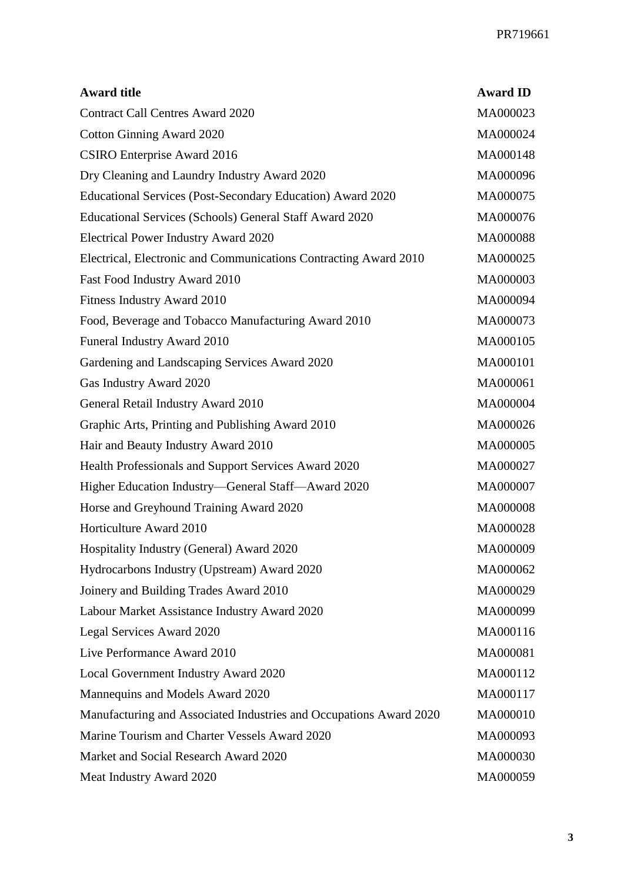| <b>Award title</b>                                                 | <b>Award ID</b> |
|--------------------------------------------------------------------|-----------------|
| <b>Contract Call Centres Award 2020</b>                            | MA000023        |
| <b>Cotton Ginning Award 2020</b>                                   | MA000024        |
| <b>CSIRO</b> Enterprise Award 2016                                 | MA000148        |
| Dry Cleaning and Laundry Industry Award 2020                       | MA000096        |
| Educational Services (Post-Secondary Education) Award 2020         | MA000075        |
| Educational Services (Schools) General Staff Award 2020            | MA000076        |
| <b>Electrical Power Industry Award 2020</b>                        | MA000088        |
| Electrical, Electronic and Communications Contracting Award 2010   | MA000025        |
| Fast Food Industry Award 2010                                      | MA000003        |
| Fitness Industry Award 2010                                        | MA000094        |
| Food, Beverage and Tobacco Manufacturing Award 2010                | MA000073        |
| Funeral Industry Award 2010                                        | MA000105        |
| Gardening and Landscaping Services Award 2020                      | MA000101        |
| Gas Industry Award 2020                                            | MA000061        |
| General Retail Industry Award 2010                                 | MA000004        |
| Graphic Arts, Printing and Publishing Award 2010                   | MA000026        |
| Hair and Beauty Industry Award 2010                                | MA000005        |
| Health Professionals and Support Services Award 2020               | MA000027        |
| Higher Education Industry-General Staff-Award 2020                 | MA000007        |
| Horse and Greyhound Training Award 2020                            | MA000008        |
| Horticulture Award 2010                                            | MA000028        |
| Hospitality Industry (General) Award 2020                          | MA000009        |
| Hydrocarbons Industry (Upstream) Award 2020                        | MA000062        |
| Joinery and Building Trades Award 2010                             | MA000029        |
| Labour Market Assistance Industry Award 2020                       | MA000099        |
| Legal Services Award 2020                                          | MA000116        |
| Live Performance Award 2010                                        | MA000081        |
| Local Government Industry Award 2020                               | MA000112        |
| Mannequins and Models Award 2020                                   | MA000117        |
| Manufacturing and Associated Industries and Occupations Award 2020 | MA000010        |
| Marine Tourism and Charter Vessels Award 2020                      | MA000093        |
| Market and Social Research Award 2020                              | MA000030        |
| Meat Industry Award 2020                                           | MA000059        |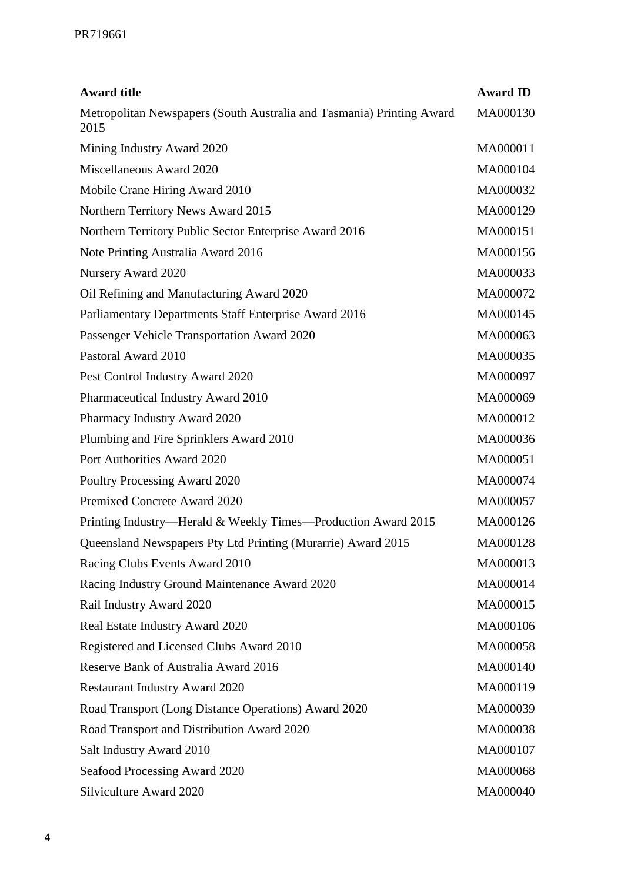| <b>Award title</b>                                                            | <b>Award ID</b> |
|-------------------------------------------------------------------------------|-----------------|
| Metropolitan Newspapers (South Australia and Tasmania) Printing Award<br>2015 | MA000130        |
| Mining Industry Award 2020                                                    | MA000011        |
| Miscellaneous Award 2020                                                      | MA000104        |
| Mobile Crane Hiring Award 2010                                                | MA000032        |
| Northern Territory News Award 2015                                            | MA000129        |
| Northern Territory Public Sector Enterprise Award 2016                        | MA000151        |
| Note Printing Australia Award 2016                                            | MA000156        |
| Nursery Award 2020                                                            | MA000033        |
| Oil Refining and Manufacturing Award 2020                                     | MA000072        |
| Parliamentary Departments Staff Enterprise Award 2016                         | MA000145        |
| Passenger Vehicle Transportation Award 2020                                   | MA000063        |
| Pastoral Award 2010                                                           | MA000035        |
| Pest Control Industry Award 2020                                              | MA000097        |
| Pharmaceutical Industry Award 2010                                            | MA000069        |
| Pharmacy Industry Award 2020                                                  | MA000012        |
| Plumbing and Fire Sprinklers Award 2010                                       | MA000036        |
| Port Authorities Award 2020                                                   | MA000051        |
| Poultry Processing Award 2020                                                 | MA000074        |
| Premixed Concrete Award 2020                                                  | MA000057        |
| Printing Industry—Herald & Weekly Times—Production Award 2015                 | MA000126        |
| Queensland Newspapers Pty Ltd Printing (Murarrie) Award 2015                  | MA000128        |
| Racing Clubs Events Award 2010                                                | MA000013        |
| Racing Industry Ground Maintenance Award 2020                                 | MA000014        |
| Rail Industry Award 2020                                                      | MA000015        |
| Real Estate Industry Award 2020                                               | MA000106        |
| Registered and Licensed Clubs Award 2010                                      | MA000058        |
| Reserve Bank of Australia Award 2016                                          | MA000140        |
| <b>Restaurant Industry Award 2020</b>                                         | MA000119        |
| Road Transport (Long Distance Operations) Award 2020                          | MA000039        |
| Road Transport and Distribution Award 2020                                    | MA000038        |
| Salt Industry Award 2010                                                      | MA000107        |
| Seafood Processing Award 2020                                                 | MA000068        |
| Silviculture Award 2020                                                       | MA000040        |